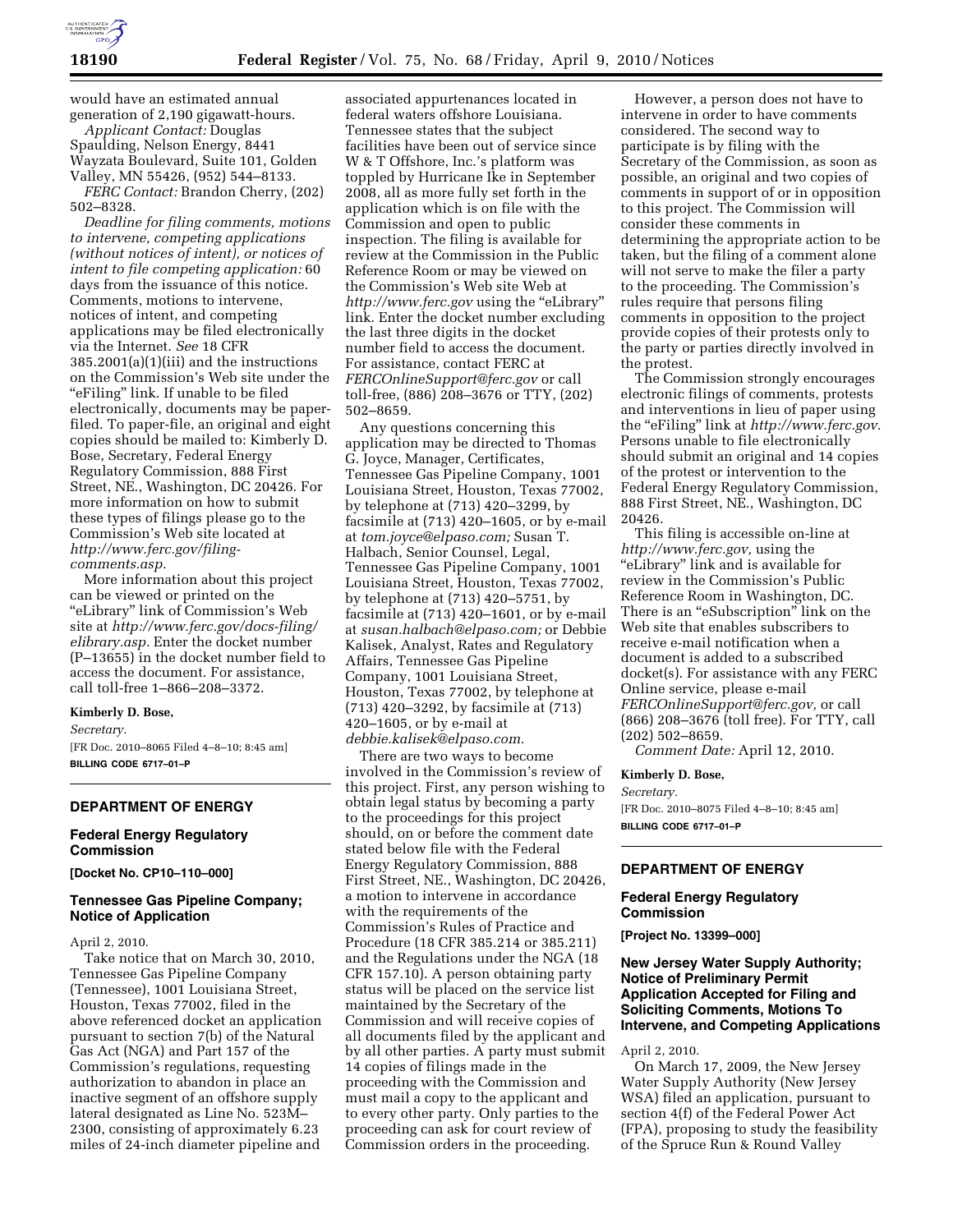

would have an estimated annual generation of 2,190 gigawatt-hours.

*Applicant Contact:* Douglas Spaulding, Nelson Energy, 8441 Wayzata Boulevard, Suite 101, Golden Valley, MN 55426, (952) 544–8133.

*FERC Contact:* Brandon Cherry, (202) 502–8328.

*Deadline for filing comments, motions to intervene, competing applications (without notices of intent), or notices of intent to file competing application:* 60 days from the issuance of this notice. Comments, motions to intervene, notices of intent, and competing applications may be filed electronically via the Internet. *See* 18 CFR 385.2001(a)(1)(iii) and the instructions on the Commission's Web site under the "eFiling" link. If unable to be filed electronically, documents may be paperfiled. To paper-file, an original and eight copies should be mailed to: Kimberly D. Bose, Secretary, Federal Energy Regulatory Commission, 888 First Street, NE., Washington, DC 20426. For more information on how to submit these types of filings please go to the Commission's Web site located at *http://www.ferc.gov/filingcomments.asp.* 

More information about this project can be viewed or printed on the ''eLibrary'' link of Commission's Web site at *http://www.ferc.gov/docs-filing/ elibrary.asp.* Enter the docket number (P–13655) in the docket number field to access the document. For assistance, call toll-free 1–866–208–3372.

#### **Kimberly D. Bose,**

*Secretary.*  [FR Doc. 2010–8065 Filed 4–8–10; 8:45 am]

**BILLING CODE 6717–01–P** 

# **DEPARTMENT OF ENERGY**

# **Federal Energy Regulatory Commission**

**[Docket No. CP10–110–000]** 

# **Tennessee Gas Pipeline Company; Notice of Application**

#### April 2, 2010.

Take notice that on March 30, 2010, Tennessee Gas Pipeline Company (Tennessee), 1001 Louisiana Street, Houston, Texas 77002, filed in the above referenced docket an application pursuant to section 7(b) of the Natural Gas Act (NGA) and Part 157 of the Commission's regulations, requesting authorization to abandon in place an inactive segment of an offshore supply lateral designated as Line No. 523M– 2300, consisting of approximately 6.23 miles of 24-inch diameter pipeline and

associated appurtenances located in federal waters offshore Louisiana. Tennessee states that the subject facilities have been out of service since W & T Offshore, Inc.'s platform was toppled by Hurricane Ike in September 2008, all as more fully set forth in the application which is on file with the Commission and open to public inspection. The filing is available for review at the Commission in the Public Reference Room or may be viewed on the Commission's Web site Web at *http://www.ferc.gov* using the ''eLibrary'' link. Enter the docket number excluding the last three digits in the docket number field to access the document. For assistance, contact FERC at *FERCOnlineSupport@ferc.gov* or call toll-free, (886) 208–3676 or TTY, (202) 502–8659.

Any questions concerning this application may be directed to Thomas G. Joyce, Manager, Certificates, Tennessee Gas Pipeline Company, 1001 Louisiana Street, Houston, Texas 77002, by telephone at (713) 420–3299, by facsimile at (713) 420–1605, or by e-mail at *tom.joyce@elpaso.com;* Susan T. Halbach, Senior Counsel, Legal, Tennessee Gas Pipeline Company, 1001 Louisiana Street, Houston, Texas 77002, by telephone at (713) 420–5751, by facsimile at (713) 420–1601, or by e-mail at *susan.halbach@elpaso.com;* or Debbie Kalisek, Analyst, Rates and Regulatory Affairs, Tennessee Gas Pipeline Company, 1001 Louisiana Street, Houston, Texas 77002, by telephone at (713) 420–3292, by facsimile at (713) 420–1605, or by e-mail at *debbie.kalisek@elpaso.com.* 

There are two ways to become involved in the Commission's review of this project. First, any person wishing to obtain legal status by becoming a party to the proceedings for this project should, on or before the comment date stated below file with the Federal Energy Regulatory Commission, 888 First Street, NE., Washington, DC 20426, a motion to intervene in accordance with the requirements of the Commission's Rules of Practice and Procedure (18 CFR 385.214 or 385.211) and the Regulations under the NGA (18 CFR 157.10). A person obtaining party status will be placed on the service list maintained by the Secretary of the Commission and will receive copies of all documents filed by the applicant and by all other parties. A party must submit 14 copies of filings made in the proceeding with the Commission and must mail a copy to the applicant and to every other party. Only parties to the proceeding can ask for court review of Commission orders in the proceeding.

However, a person does not have to intervene in order to have comments considered. The second way to participate is by filing with the Secretary of the Commission, as soon as possible, an original and two copies of comments in support of or in opposition to this project. The Commission will consider these comments in determining the appropriate action to be taken, but the filing of a comment alone will not serve to make the filer a party to the proceeding. The Commission's rules require that persons filing comments in opposition to the project provide copies of their protests only to the party or parties directly involved in the protest.

The Commission strongly encourages electronic filings of comments, protests and interventions in lieu of paper using the ''eFiling'' link at *http://www.ferc.gov.*  Persons unable to file electronically should submit an original and 14 copies of the protest or intervention to the Federal Energy Regulatory Commission, 888 First Street, NE., Washington, DC 20426.

This filing is accessible on-line at *http://www.ferc.gov,* using the ''eLibrary'' link and is available for review in the Commission's Public Reference Room in Washington, DC. There is an "eSubscription" link on the Web site that enables subscribers to receive e-mail notification when a document is added to a subscribed docket(s). For assistance with any FERC Online service, please e-mail *FERCOnlineSupport@ferc.gov,* or call (866) 208–3676 (toll free). For TTY, call (202) 502–8659.

*Comment Date:* April 12, 2010.

#### **Kimberly D. Bose,**

*Secretary.* 

[FR Doc. 2010–8075 Filed 4–8–10; 8:45 am] **BILLING CODE 6717–01–P** 

#### **DEPARTMENT OF ENERGY**

### **Federal Energy Regulatory Commission**

**[Project No. 13399–000]** 

# **New Jersey Water Supply Authority; Notice of Preliminary Permit Application Accepted for Filing and Soliciting Comments, Motions To Intervene, and Competing Applications**

April 2, 2010.

On March 17, 2009, the New Jersey Water Supply Authority (New Jersey WSA) filed an application, pursuant to section 4(f) of the Federal Power Act (FPA), proposing to study the feasibility of the Spruce Run & Round Valley